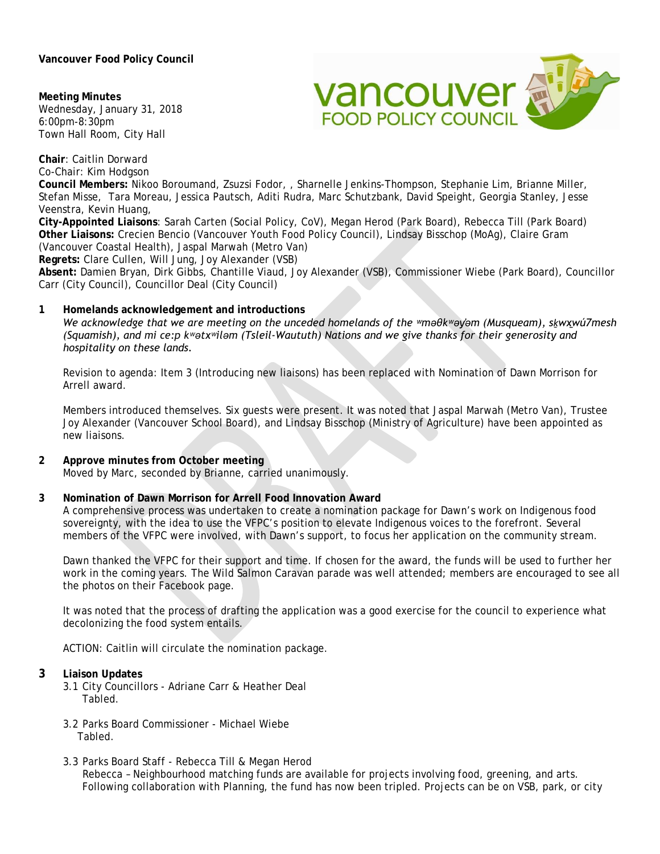## **Vancouver Food Policy Council**

**Meeting Minutes** Wednesday, January 31, 2018 6:00pm-8:30pm Town Hall Room, City Hall

**Chair**: Caitlin Dorward



Co-Chair: Kim Hodgson **Council Members:** Nikoo Boroumand, Zsuzsi Fodor, , Sharnelle Jenkins-Thompson, Stephanie Lim, Brianne Miller, Stefan Misse, Tara Moreau, Jessica Pautsch, Aditi Rudra, Marc Schutzbank, David Speight, Georgia Stanley, Jesse Veenstra, Kevin Huang, **City-Appointed Liaisons**: Sarah Carten (Social Policy, CoV), Megan Herod (Park Board), Rebecca Till (Park Board)

**Other Liaisons:** Crecien Bencio (Vancouver Youth Food Policy Council), Lindsay Bisschop (MoAg), Claire Gram (Vancouver Coastal Health), Jaspal Marwah (Metro Van)

**Regrets:** Clare Cullen, Will Jung, Joy Alexander (VSB)

**Absent:** Damien Bryan, Dirk Gibbs, Chantille Viaud, Joy Alexander (VSB), Commissioner Wiebe (Park Board), Councillor Carr (City Council), Councillor Deal (City Council)

## **1 Homelands acknowledgement and introductions**

*We acknowledge that we are meeting on the unceded homelands of the ʷməθkʷəy̓əm (Musqueam), sḵwx̱wú7mesh (Squamish), and mi ce:p kʷətxʷiləm (Tsleil-Waututh) Nations and we give thanks for their generosity and hospitality on these lands.*

Revision to agenda: Item 3 (Introducing new liaisons) has been replaced with Nomination of Dawn Morrison for Arrell award.

Members introduced themselves. Six guests were present. It was noted that Jaspal Marwah (Metro Van), Trustee Joy Alexander (Vancouver School Board), and Lindsay Bisschop (Ministry of Agriculture) have been appointed as new liaisons.

# **2 Approve minutes from October meeting**

Moved by Marc, seconded by Brianne, carried unanimously.

### **3 Nomination of Dawn Morrison for Arrell Food Innovation Award**

A comprehensive process was undertaken to create a nomination package for Dawn's work on Indigenous food sovereignty, with the idea to use the VFPC's position to elevate Indigenous voices to the forefront. Several members of the VFPC were involved, with Dawn's support, to focus her application on the community stream.

Dawn thanked the VFPC for their support and time. If chosen for the award, the funds will be used to further her work in the coming years. The Wild Salmon Caravan parade was well attended; members are encouraged to see all the photos on their Facebook page.

It was noted that the process of drafting the application was a good exercise for the council to experience what decolonizing the food system entails.

ACTION: Caitlin will circulate the nomination package.

### **3 Liaison Updates**

- 3.1 City Councillors Adriane Carr & Heather Deal Tabled.
- 3.2 Parks Board Commissioner Michael Wiebe Tabled.
- 3.3 Parks Board Staff Rebecca Till & Megan Herod

Rebecca – Neighbourhood matching funds are available for projects involving food, greening, and arts. Following collaboration with Planning, the fund has now been tripled. Projects can be on VSB, park, or city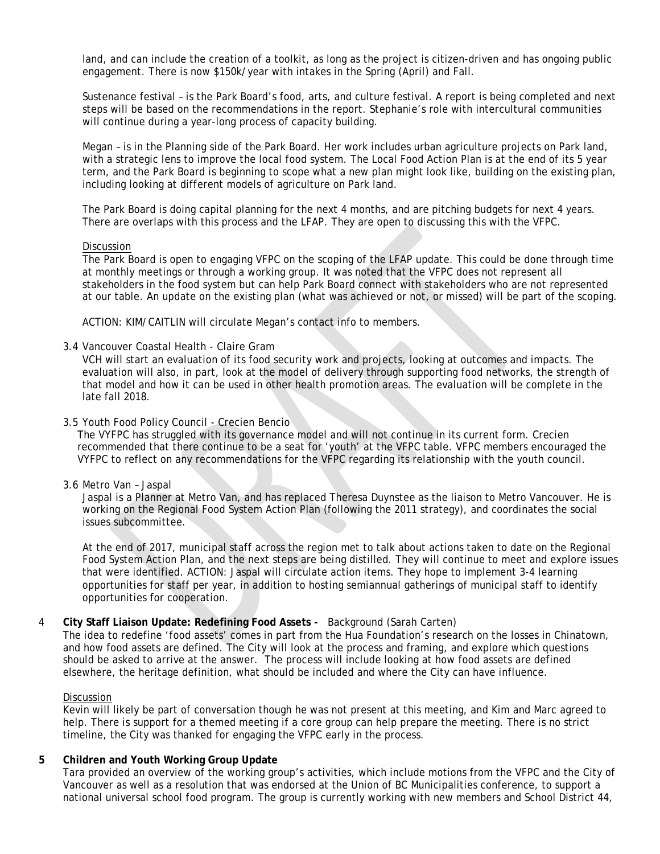land, and can include the creation of a toolkit, as long as the project is citizen-driven and has ongoing public engagement. There is now \$150k/year with intakes in the Spring (April) and Fall.

Sustenance festival – is the Park Board's food, arts, and culture festival. A report is being completed and next steps will be based on the recommendations in the report. Stephanie's role with intercultural communities will continue during a year-long process of capacity building.

Megan – is in the Planning side of the Park Board. Her work includes urban agriculture projects on Park land, with a strategic lens to improve the local food system. The Local Food Action Plan is at the end of its 5 year term, and the Park Board is beginning to scope what a new plan might look like, building on the existing plan, including looking at different models of agriculture on Park land.

The Park Board is doing capital planning for the next 4 months, and are pitching budgets for next 4 years. There are overlaps with this process and the LFAP. They are open to discussing this with the VFPC.

#### **Discussion**

The Park Board is open to engaging VFPC on the scoping of the LFAP update. This could be done through time at monthly meetings or through a working group. It was noted that the VFPC does not represent all stakeholders in the food system but can help Park Board connect with stakeholders who are not represented at our table. An update on the existing plan (what was achieved or not, or missed) will be part of the scoping.

ACTION: KIM/CAITLIN will circulate Megan's contact info to members.

3.4 Vancouver Coastal Health - Claire Gram

VCH will start an evaluation of its food security work and projects, looking at outcomes and impacts. The evaluation will also, in part, look at the model of delivery through supporting food networks, the strength of that model and how it can be used in other health promotion areas. The evaluation will be complete in the late fall 2018.

#### 3.5 Youth Food Policy Council - Crecien Bencio

The VYFPC has struggled with its governance model and will not continue in its current form. Crecien recommended that there continue to be a seat for 'youth' at the VFPC table. VFPC members encouraged the VYFPC to reflect on any recommendations for the VFPC regarding its relationship with the youth council.

3.6 Metro Van – Jaspal

Jaspal is a Planner at Metro Van, and has replaced Theresa Duynstee as the liaison to Metro Vancouver. He is working on the Regional Food System Action Plan (following the 2011 strategy), and coordinates the social issues subcommittee.

At the end of 2017, municipal staff across the region met to talk about actions taken to date on the Regional Food System Action Plan, and the next steps are being distilled. They will continue to meet and explore issues that were identified. ACTION: Jaspal will circulate action items. They hope to implement 3-4 learning opportunities for staff per year, in addition to hosting semiannual gatherings of municipal staff to identify opportunities for cooperation.

### 4 **City Staff Liaison Update: Redefining Food Assets -** Background (Sarah Carten)

The idea to redefine 'food assets' comes in part from the Hua Foundation's research on the losses in Chinatown, and how food assets are defined. The City will look at the process and framing, and explore which questions should be asked to arrive at the answer. The process will include looking at how food assets are defined elsewhere, the heritage definition, what should be included and where the City can have influence.

### **Discussion**

Kevin will likely be part of conversation though he was not present at this meeting, and Kim and Marc agreed to help. There is support for a themed meeting if a core group can help prepare the meeting. There is no strict timeline, the City was thanked for engaging the VFPC early in the process.

### **5 Children and Youth Working Group Update**

Tara provided an overview of the working group's activities, which include motions from the VFPC and the City of Vancouver as well as a resolution that was endorsed at the Union of BC Municipalities conference, to support a national universal school food program. The group is currently working with new members and School District 44,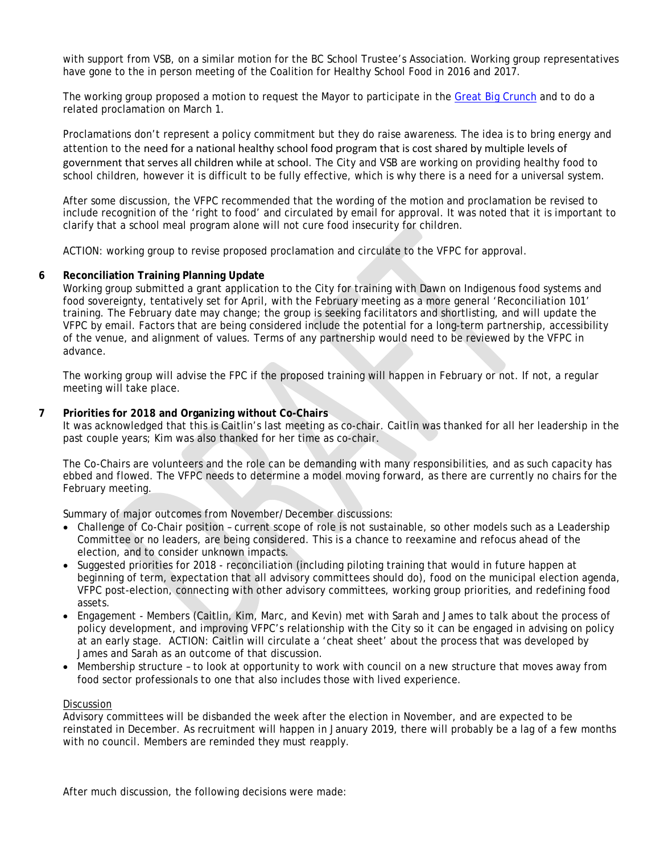with support from VSB, on a similar motion for the BC School Trustee's Association. Working group representatives have gone to the in person meeting of the Coalition for Healthy School Food in 2016 and 2017.

The working group proposed a motion to request the Mayor to participate in the [Great Big Crunch](https://foodsecurecanada.org/greatbigcrunch) and to do a related proclamation on March 1.

Proclamations don't represent a policy commitment but they do raise awareness. The idea is to bring energy and attention to the need for a national healthy school food program that is cost shared by multiple levels of government that serves all children while at school. The City and VSB are working on providing healthy food to school children, however it is difficult to be fully effective, which is why there is a need for a universal system.

After some discussion, the VFPC recommended that the wording of the motion and proclamation be revised to include recognition of the 'right to food' and circulated by email for approval. It was noted that it is important to clarify that a school meal program alone will not cure food insecurity for children.

ACTION: working group to revise proposed proclamation and circulate to the VFPC for approval.

### **6 Reconciliation Training Planning Update**

Working group submitted a grant application to the City for training with Dawn on Indigenous food systems and food sovereignty, tentatively set for April, with the February meeting as a more general 'Reconciliation 101' training. The February date may change; the group is seeking facilitators and shortlisting, and will update the VFPC by email. Factors that are being considered include the potential for a long-term partnership, accessibility of the venue, and alignment of values. Terms of any partnership would need to be reviewed by the VFPC in advance.

 The working group will advise the FPC if the proposed training will happen in February or not. If not, a regular meeting will take place.

#### **7 Priorities for 2018 and Organizing without Co-Chairs**

It was acknowledged that this is Caitlin's last meeting as co-chair. Caitlin was thanked for all her leadership in the past couple years; Kim was also thanked for her time as co-chair.

The Co-Chairs are volunteers and the role can be demanding with many responsibilities, and as such capacity has ebbed and flowed. The VFPC needs to determine a model moving forward, as there are currently no chairs for the February meeting.

Summary of major outcomes from November/December discussions:

- Challenge of Co-Chair position current scope of role is not sustainable, so other models such as a Leadership Committee or no leaders, are being considered. This is a chance to reexamine and refocus ahead of the election, and to consider unknown impacts.
- Suggested priorities for 2018 reconciliation (including piloting training that would in future happen at beginning of term, expectation that all advisory committees should do), food on the municipal election agenda, VFPC post-election, connecting with other advisory committees, working group priorities, and redefining food assets.
- Engagement Members (Caitlin, Kim, Marc, and Kevin) met with Sarah and James to talk about the process of policy development, and improving VFPC's relationship with the City so it can be engaged in advising on policy at an early stage. ACTION: Caitlin will circulate a 'cheat sheet' about the process that was developed by James and Sarah as an outcome of that discussion.
- Membership structure to look at opportunity to work with council on a new structure that moves away from food sector professionals to one that also includes those with lived experience.

#### Discussion

Advisory committees will be disbanded the week after the election in November, and are expected to be reinstated in December. As recruitment will happen in January 2019, there will probably be a lag of a few months with no council. Members are reminded they must reapply.

After much discussion, the following decisions were made: